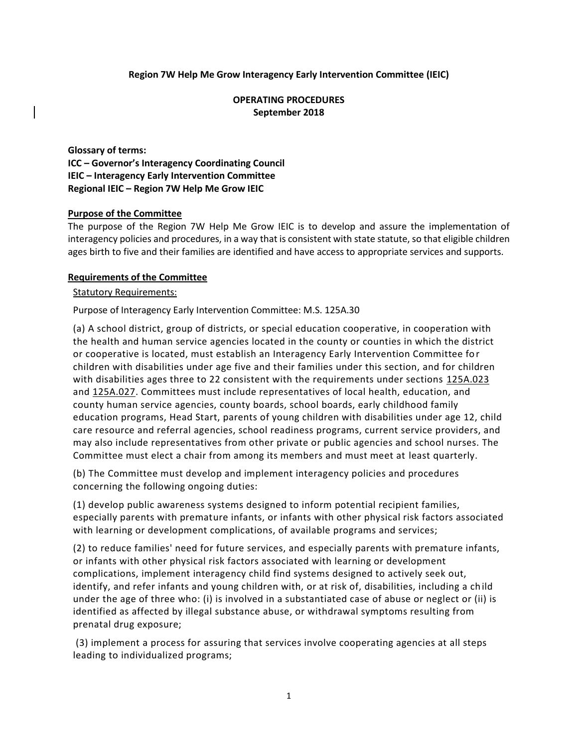# **Region 7W Help Me Grow Interagency Early Intervention Committee (IEIC)**

# **OPERATING PROCEDURES September 2018**

**Glossary of terms: ICC – Governor's Interagency Coordinating Council IEIC – Interagency Early Intervention Committee Regional IEIC – Region 7W Help Me Grow IEIC**

### **Purpose of the Committee**

The purpose of the Region 7W Help Me Grow IEIC is to develop and assure the implementation of interagency policies and procedures, in a way that is consistent with state statute, so that eligible children ages birth to five and their families are identified and have access to appropriate services and supports.

### **Requirements of the Committee**

### Statutory Requirements:

Purpose of Interagency Early Intervention Committee: M.S. 125A.30

(a) A school district, group of districts, or special education cooperative, in cooperation with the health and human service agencies located in the county or counties in which the district or cooperative is located, must establish an Interagency Early Intervention Committee for children with disabilities under age five and their families under this section, and for children with disabilities ages three to 22 consistent with the requirements under sections [125A.023](https://www.revisor.mn.gov/statutes?id=125A.023#stat.125A.023) and [125A.027.](https://www.revisor.mn.gov/statutes?id=125A.027#stat.125A.027) Committees must include representatives of local health, education, and county human service agencies, county boards, school boards, early childhood family education programs, Head Start, parents of young children with disabilities under age 12, child care resource and referral agencies, school readiness programs, current service providers, and may also include representatives from other private or public agencies and school nurses. The Committee must elect a chair from among its members and must meet at least quarterly.

(b) The Committee must develop and implement interagency policies and procedures concerning the following ongoing duties:

(1) develop public awareness systems designed to inform potential recipient families, especially parents with premature infants, or infants with other physical risk factors associated with learning or development complications, of available programs and services;

(2) to reduce families' need for future services, and especially parents with premature infants, or infants with other physical risk factors associated with learning or development complications, implement interagency child find systems designed to actively seek out, identify, and refer infants and young children with, or at risk of, disabilities, including a child under the age of three who: (i) is involved in a substantiated case of abuse or neglect or (ii) is identified as affected by illegal substance abuse, or withdrawal symptoms resulting from prenatal drug exposure;

(3) implement a process for assuring that services involve cooperating agencies at all steps leading to individualized programs;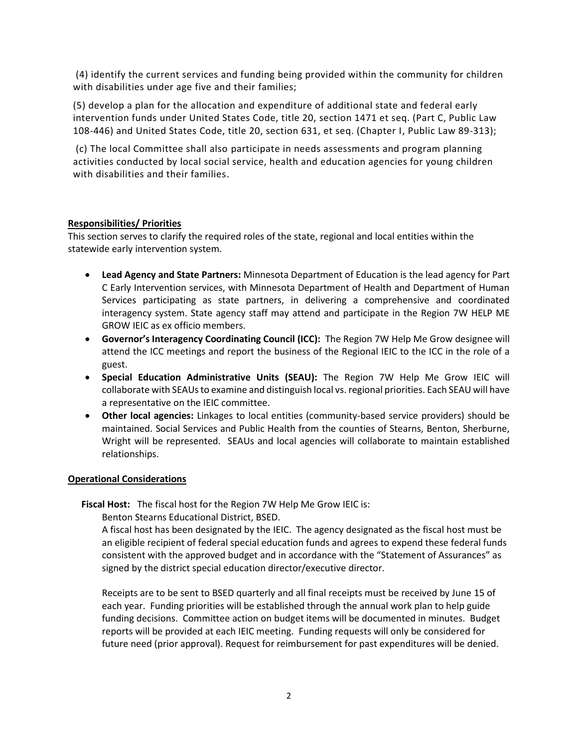(4) identify the current services and funding being provided within the community for children with disabilities under age five and their families;

(5) develop a plan for the allocation and expenditure of additional state and federal early intervention funds under United States Code, title 20, section 1471 et seq. (Part C, Public Law 108-446) and United States Code, title 20, section 631, et seq. (Chapter I, Public Law 89-313);

(c) The local Committee shall also participate in needs assessments and program planning activities conducted by local social service, health and education agencies for young children with disabilities and their families.

# **Responsibilities/ Priorities**

This section serves to clarify the required roles of the state, regional and local entities within the statewide early intervention system.

- **Lead Agency and State Partners:** Minnesota Department of Education is the lead agency for Part C Early Intervention services, with Minnesota Department of Health and Department of Human Services participating as state partners, in delivering a comprehensive and coordinated interagency system. State agency staff may attend and participate in the Region 7W HELP ME GROW IEIC as ex officio members.
- **Governor's Interagency Coordinating Council (ICC):** The Region 7W Help Me Grow designee will attend the ICC meetings and report the business of the Regional IEIC to the ICC in the role of a guest.
- **Special Education Administrative Units (SEAU):** The Region 7W Help Me Grow IEIC will collaborate with SEAUs to examine and distinguish local vs. regional priorities. Each SEAU will have a representative on the IEIC committee.
- **Other local agencies:** Linkages to local entities (community-based service providers) should be maintained. Social Services and Public Health from the counties of Stearns, Benton, Sherburne, Wright will be represented. SEAUs and local agencies will collaborate to maintain established relationships.

# **Operational Considerations**

**Fiscal Host:** The fiscal host for the Region 7W Help Me Grow IEIC is:

Benton Stearns Educational District, BSED.

A fiscal host has been designated by the IEIC. The agency designated as the fiscal host must be an eligible recipient of federal special education funds and agrees to expend these federal funds consistent with the approved budget and in accordance with the "Statement of Assurances" as signed by the district special education director/executive director.

Receipts are to be sent to BSED quarterly and all final receipts must be received by June 15 of each year. Funding priorities will be established through the annual work plan to help guide funding decisions. Committee action on budget items will be documented in minutes. Budget reports will be provided at each IEIC meeting. Funding requests will only be considered for future need (prior approval). Request for reimbursement for past expenditures will be denied.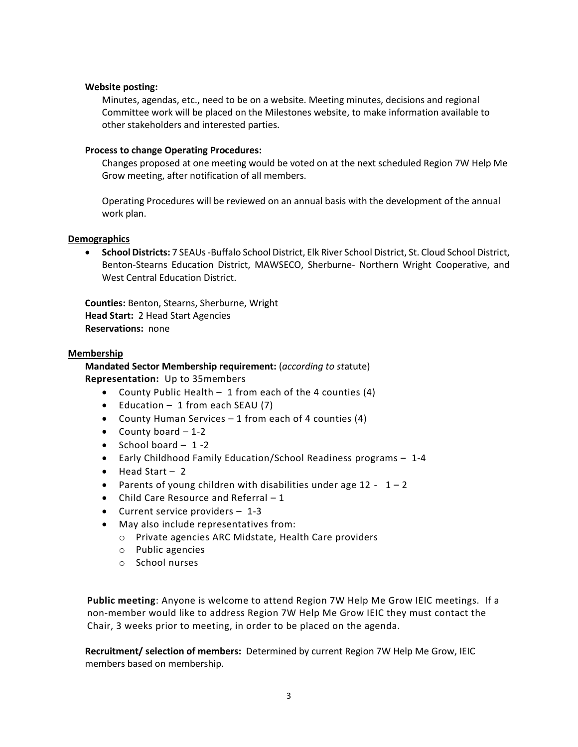#### **Website posting:**

Minutes, agendas, etc., need to be on a website. Meeting minutes, decisions and regional Committee work will be placed on the Milestones website, to make information available to other stakeholders and interested parties.

## **Process to change Operating Procedures:**

Changes proposed at one meeting would be voted on at the next scheduled Region 7W Help Me Grow meeting, after notification of all members.

Operating Procedures will be reviewed on an annual basis with the development of the annual work plan.

### **Demographics**

• **School Districts:** 7 SEAUs -Buffalo School District, Elk River School District, St. Cloud School District, Benton-Stearns Education District, MAWSECO, Sherburne- Northern Wright Cooperative, and West Central Education District.

**Counties:** Benton, Stearns, Sherburne, Wright **Head Start:** 2 Head Start Agencies **Reservations:** none

### **Membership**

**Mandated Sector Membership requirement:** (*according to st*atute) **Representation:** Up to 35members

- County Public Health 1 from each of the 4 counties (4)
- Education 1 from each SEAU (7)
- County Human Services 1 from each of 4 counties (4)
- County board  $-1-2$
- School board  $-1 2$
- Early Childhood Family Education/School Readiness programs 1-4
- Head Start 2
- Parents of young children with disabilities under age  $12 1 2$
- Child Care Resource and Referral 1
- Current service providers 1-3
- May also include representatives from:
	- o Private agencies ARC Midstate, Health Care providers
	- o Public agencies
	- o School nurses

**Public meeting**: Anyone is welcome to attend Region 7W Help Me Grow IEIC meetings. If a non-member would like to address Region 7W Help Me Grow IEIC they must contact the Chair, 3 weeks prior to meeting, in order to be placed on the agenda.

**Recruitment/ selection of members:** Determined by current Region 7W Help Me Grow, IEIC members based on membership.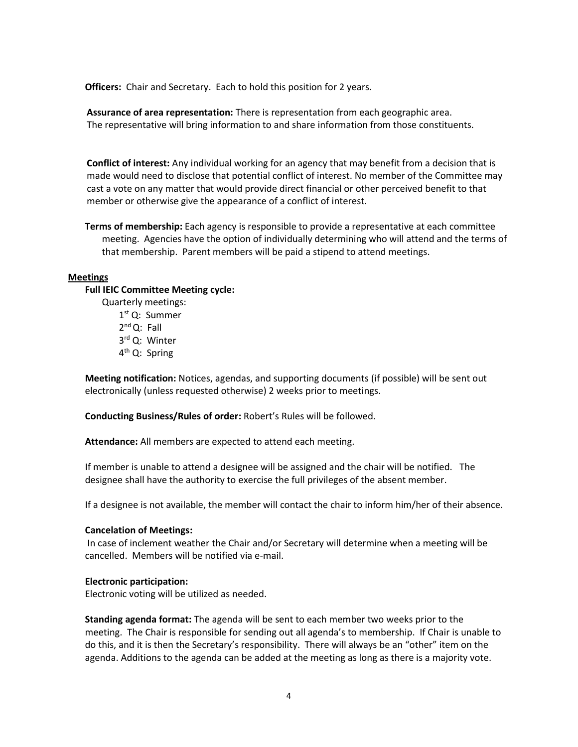**Officers:** Chair and Secretary. Each to hold this position for 2 years.

 **Assurance of area representation:** There is representation from each geographic area. The representative will bring information to and share information from those constituents.

 **Conflict of interest:** Any individual working for an agency that may benefit from a decision that is made would need to disclose that potential conflict of interest. No member of the Committee may cast a vote on any matter that would provide direct financial or other perceived benefit to that member or otherwise give the appearance of a conflict of interest.

**Terms of membership:** Each agency is responsible to provide a representative at each committee meeting. Agencies have the option of individually determining who will attend and the terms of that membership. Parent members will be paid a stipend to attend meetings.

### **Meetings**

### **Full IEIC Committee Meeting cycle:**

Quarterly meetings: 1 st Q: Summer 2<sup>nd</sup> Q: Fall 3 rd Q: Winter 4<sup>th</sup> Q: Spring

**Meeting notification:** Notices, agendas, and supporting documents (if possible) will be sent out electronically (unless requested otherwise) 2 weeks prior to meetings.

**Conducting Business/Rules of order:** Robert's Rules will be followed.

**Attendance:** All members are expected to attend each meeting.

If member is unable to attend a designee will be assigned and the chair will be notified. The designee shall have the authority to exercise the full privileges of the absent member.

If a designee is not available, the member will contact the chair to inform him/her of their absence.

#### **Cancelation of Meetings:**

In case of inclement weather the Chair and/or Secretary will determine when a meeting will be cancelled. Members will be notified via e-mail.

#### **Electronic participation:**

Electronic voting will be utilized as needed.

**Standing agenda format:** The agenda will be sent to each member two weeks prior to the meeting. The Chair is responsible for sending out all agenda's to membership. If Chair is unable to do this, and it is then the Secretary's responsibility. There will always be an "other" item on the agenda. Additions to the agenda can be added at the meeting as long as there is a majority vote.